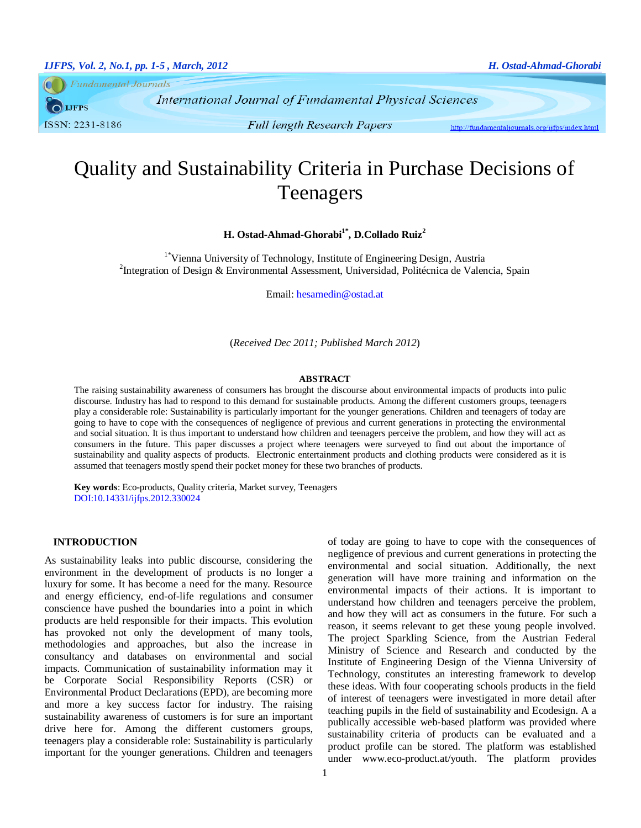**Fundamental Journals** 

**LJFPS** ISSN: 2231-8186

**International Journal of Fundamental Physical Sciences** 

**Full length Research Papers** 

http://fundamentaljournals.org/ijfps/index.html

# Quality and Sustainability Criteria in Purchase Decisions of Teenagers

# **H. Ostad-Ahmad-Ghorabi1\* , D.Collado Ruiz<sup>2</sup>**

<sup>1\*</sup>Vienna University of Technology, Institute of Engineering Design, Austria <sup>2</sup>Integration of Design & Environmental Assessment, Universidad, Politécnica de Valencia, Spain

Email[: hesamedin@ostad.at](mailto:hesamedin@ostad.at)

(*Received Dec 2011; Published March 2012*)

#### **ABSTRACT**

The raising sustainability awareness of consumers has brought the discourse about environmental impacts of products into pulic discourse. Industry has had to respond to this demand for sustainable products. Among the different customers groups, teenagers play a considerable role: Sustainability is particularly important for the younger generations. Children and teenagers of today are going to have to cope with the consequences of negligence of previous and current generations in protecting the environmental and social situation. It is thus important to understand how children and teenagers perceive the problem, and how they will act as consumers in the future. This paper discusses a project where teenagers were surveyed to find out about the importance of sustainability and quality aspects of products. Electronic entertainment products and clothing products were considered as it is assumed that teenagers mostly spend their pocket money for these two branches of products.

**Key words**: Eco-products, Quality criteria, Market survey, Teenagers DOI:10.14331/ijfps.2012.330024

# **INTRODUCTION**

As sustainability leaks into public discourse, considering the environment in the development of products is no longer a luxury for some. It has become a need for the many. Resource and energy efficiency, end-of-life regulations and consumer conscience have pushed the boundaries into a point in which products are held responsible for their impacts. This evolution has provoked not only the development of many tools, methodologies and approaches, but also the increase in consultancy and databases on environmental and social impacts. Communication of sustainability information may it be Corporate Social Responsibility Reports (CSR) or Environmental Product Declarations (EPD), are becoming more and more a key success factor for industry. The raising sustainability awareness of customers is for sure an important drive here for. Among the different customers groups, teenagers play a considerable role: Sustainability is particularly important for the younger generations. Children and teenagers of today are going to have to cope with the consequences of negligence of previous and current generations in protecting the environmental and social situation. Additionally, the next generation will have more training and information on the environmental impacts of their actions. It is important to understand how children and teenagers perceive the problem, and how they will act as consumers in the future. For such a reason, it seems relevant to get these young people involved. The project Sparkling Science, from the Austrian Federal Ministry of Science and Research and conducted by the Institute of Engineering Design of the Vienna University of Technology, constitutes an interesting framework to develop these ideas. With four cooperating schools products in the field of interest of teenagers were investigated in more detail after teaching pupils in the field of sustainability and Ecodesign. A a publically accessible web-based platform was provided where sustainability criteria of products can be evaluated and a product profile can be stored. The platform was established under [www.eco-product.at/youth.](http://www.ecoproduct.at/youth) The platform provides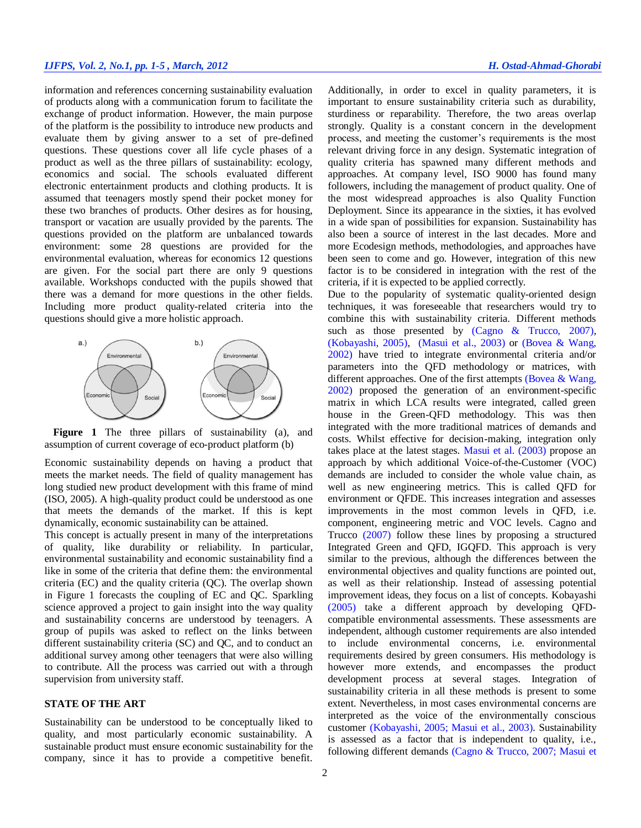# *IJFPS, Vol. 2, No.1, pp. 1-5 , March, 2012 H. Ostad-Ahmad-Ghorabi*

information and references concerning sustainability evaluation of products along with a communication forum to facilitate the exchange of product information. However, the main purpose of the platform is the possibility to introduce new products and evaluate them by giving answer to a set of pre-defined questions. These questions cover all life cycle phases of a product as well as the three pillars of sustainability: ecology, economics and social. The schools evaluated different electronic entertainment products and clothing products. It is assumed that teenagers mostly spend their pocket money for these two branches of products. Other desires as for housing, transport or vacation are usually provided by the parents. The questions provided on the platform are unbalanced towards environment: some 28 questions are provided for the environmental evaluation, whereas for economics 12 questions are given. For the social part there are only 9 questions available. Workshops conducted with the pupils showed that there was a demand for more questions in the other fields. Including more product quality-related criteria into the questions should give a more holistic approach.



<span id="page-1-0"></span>**Figure 1** The three pillars of sustainability (a), and assumption of current coverage of eco-product platform (b)

Economic sustainability depends on having a product that meets the market needs. The field of quality management has long studied new product development with this frame of mind (ISO, 2005). A high-quality product could be understood as one that meets the demands of the market. If this is kept dynamically, economic sustainability can be attained.

This concept is actually present in many of the interpretations of quality, like durability or reliability. In particular, environmental sustainability and economic sustainability find a like in some of the criteria that define them: the environmental criteria (EC) and the quality criteria (QC). The overlap shown in [Figure](#page-1-0) 1 forecasts the coupling of EC and QC. Sparkling science approved a project to gain insight into the way quality and sustainability concerns are understood by teenagers. A group of pupils was asked to reflect on the links between different sustainability criteria (SC) and QC, and to conduct an additional survey among other teenagers that were also willing to contribute. All the process was carried out with a through supervision from university staff.

#### **STATE OF THE ART**

Sustainability can be understood to be conceptually liked to quality, and most particularly economic sustainability. A sustainable product must ensure economic sustainability for the company, since it has to provide a competitive benefit.

Additionally, in order to excel in quality parameters, it is important to ensure sustainability criteria such as durability, sturdiness or reparability. Therefore, the two areas overlap strongly. Quality is a constant concern in the development process, and meeting the customer's requirements is the most relevant driving force in any design. Systematic integration of quality criteria has spawned many different methods and approaches. At company level, ISO 9000 has found many followers, including the management of product quality. One of the most widespread approaches is also Quality Function Deployment. Since its appearance in the sixties, it has evolved in a wide span of possibilities for expansion. Sustainability has also been a source of interest in the last decades. More and more Ecodesign methods, methodologies, and approaches have been seen to come and go. However, integration of this new factor is to be considered in integration with the rest of the criteria, if it is expected to be applied correctly.

Due to the popularity of systematic quality-oriented design techniques, it was foreseeable that researchers would try to combine this with sustainability criteria. Different methods such as those presented by [\(Cagno & Trucco, 2007\)](#page-4-0), [\(Kobayashi, 2005\)](#page-4-1), [\(Masui et al., 2003\)](#page-4-2) or [\(Bovea & Wang,](#page-4-3)  [2002\)](#page-4-3) have tried to integrate environmental criteria and/or parameters into the QFD methodology or matrices, with different approaches. One of the first attempts (Bovea & Wang, [2002\)](#page-4-3) proposed the generation of an environment-specific matrix in which LCA results were integrated, called green house in the Green-QFD methodology. This was then integrated with the more traditional matrices of demands and costs. Whilst effective for decision-making, integration only takes place at the latest stages. [Masui et al. \(2003\)](#page-4-2) propose an approach by which additional Voice-of-the-Customer (VOC) demands are included to consider the whole value chain, as well as new engineering metrics. This is called QFD for environment or QFDE. This increases integration and assesses improvements in the most common levels in QFD, i.e. component, engineering metric and VOC levels. [Cagno and](#page-4-0)  [Trucco \(2007\)](#page-4-0) follow these lines by proposing a structured Integrated Green and QFD, IGQFD. This approach is very similar to the previous, although the differences between the environmental objectives and quality functions are pointed out, as well as their relationship. Instead of assessing potential improvement ideas, they focus on a list of concepts. [Kobayashi](#page-4-1)  [\(2005\)](#page-4-1) take a different approach by developing QFDcompatible environmental assessments. These assessments are independent, although customer requirements are also intended to include environmental concerns, i.e. environmental requirements desired by green consumers. His methodology is however more extends, and encompasses the product development process at several stages. Integration of sustainability criteria in all these methods is present to some extent. Nevertheless, in most cases environmental concerns are interpreted as the voice of the environmentally conscious customer [\(Kobayashi, 2005;](#page-4-1) [Masui et al., 2003\)](#page-4-2). Sustainability is assessed as a factor that is independent to quality, i.e., following different demands [\(Cagno & Trucco, 2007;](#page-4-0) [Masui et](#page-4-2)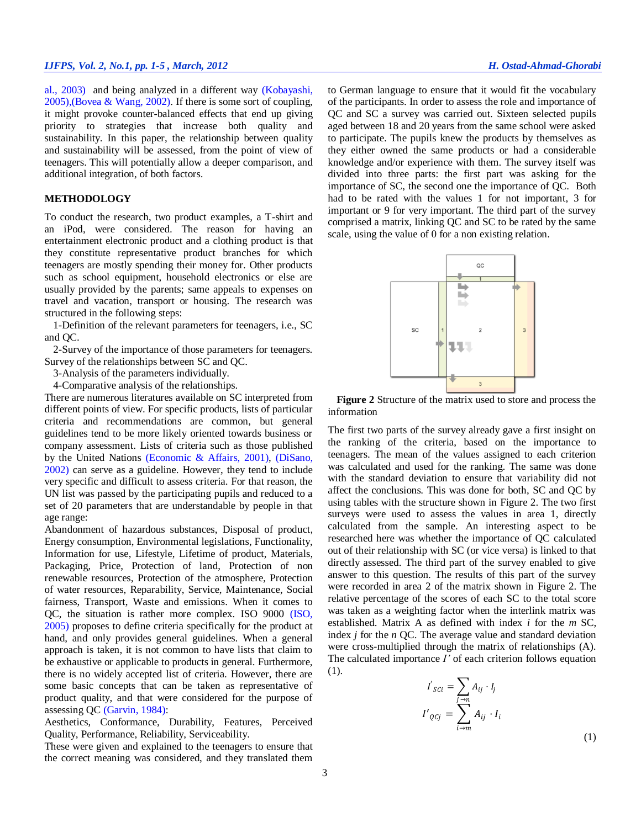al., 2003) and being analyzed in a different way [\(Kobayashi,](#page-4-4)  [2005\)](#page-4-4),[\(Bovea & Wang, 2002\)](#page-4-3). If there is some sort of coupling, it might provoke counter-balanced effects that end up giving priority to strategies that increase both quality and sustainability. In this paper, the relationship between quality and sustainability will be assessed, from the point of view of teenagers. This will potentially allow a deeper comparison, and additional integration, of both factors.

#### **METHODOLOGY**

To conduct the research, two product examples, a T-shirt and an iPod, were considered. The reason for having an entertainment electronic product and a clothing product is that they constitute representative product branches for which teenagers are mostly spending their money for. Other products such as school equipment, household electronics or else are usually provided by the parents; same appeals to expenses on travel and vacation, transport or housing. The research was structured in the following steps:

1-Definition of the relevant parameters for teenagers, i.e., SC and QC.

2-Survey of the importance of those parameters for teenagers. Survey of the relationships between SC and QC.

3-Analysis of the parameters individually.

4-Comparative analysis of the relationships.

There are numerous literatures available on SC interpreted from different points of view. For specific products, lists of particular criteria and recommendations are common, but general guidelines tend to be more likely oriented towards business or company assessment. Lists of criteria such as those published by the United Nations [\(Economic & Affairs, 2001\)](#page-4-4), [\(DiSano,](#page-4-5)  [2002\)](#page-4-5) can serve as a guideline. However, they tend to include very specific and difficult to assess criteria. For that reason, the UN list was passed by the participating pupils and reduced to a set of 20 parameters that are understandable by people in that age range:

Abandonment of hazardous substances, Disposal of product, Energy consumption, Environmental legislations, Functionality, Information for use, Lifestyle, Lifetime of product, Materials, Packaging, Price, Protection of land, Protection of non renewable resources, Protection of the atmosphere, Protection of water resources, Reparability, Service, Maintenance, Social fairness, Transport, Waste and emissions. When it comes to QC, the situation is rather more complex. ISO 9000 [\(ISO,](#page-4-6)  [2005\)](#page-4-6) proposes to define criteria specifically for the product at hand, and only provides general guidelines. When a general approach is taken, it is not common to have lists that claim to be exhaustive or applicable to products in general. Furthermore, there is no widely accepted list of criteria. However, there are some basic concepts that can be taken as representative of product quality, and that were considered for the purpose of assessing QC [\(Garvin, 1984\)](#page-4-7):

Aesthetics, Conformance, Durability, Features, Perceived Quality, Performance, Reliability, Serviceability.

These were given and explained to the teenagers to ensure that the correct meaning was considered, and they translated them to German language to ensure that it would fit the vocabulary of the participants. In order to assess the role and importance of QC and SC a survey was carried out. Sixteen selected pupils aged between 18 and 20 years from the same school were asked to participate. The pupils knew the products by themselves as they either owned the same products or had a considerable knowledge and/or experience with them. The survey itself was divided into three parts: the first part was asking for the importance of SC, the second one the importance of QC. Both had to be rated with the values 1 for not important, 3 for important or 9 for very important. The third part of the survey comprised a matrix, linking QC and SC to be rated by the same scale, using the value of 0 for a non existing relation.



<span id="page-2-0"></span>**Figure 2** Structure of the matrix used to store and process the information

The first two parts of the survey already gave a first insight on the ranking of the criteria, based on the importance to teenagers. The mean of the values assigned to each criterion was calculated and used for the ranking. The same was done with the standard deviation to ensure that variability did not affect the conclusions. This was done for both, SC and QC by using tables with the structure shown in [Figure](#page-2-0) 2. The two first surveys were used to assess the values in area 1, directly calculated from the sample. An interesting aspect to be researched here was whether the importance of QC calculated out of their relationship with SC (or vice versa) is linked to that directly assessed. The third part of the survey enabled to give answer to this question. The results of this part of the survey were recorded in area 2 of the matrix shown in [Figure](#page-2-0) 2. The relative percentage of the scores of each SC to the total score was taken as a weighting factor when the interlink matrix was established. Matrix A as defined with index *i* for the *m* SC, index *j* for the *n* QC. The average value and standard deviation were cross-multiplied through the matrix of relationships (A). The calculated importance *I'* of each criterion follows equation (1).

$$
I'_{\mathit{SCI}} = \sum_{j \to n} A_{ij} \cdot I_j
$$

$$
I'_{\mathit{QCj}} = \sum_{i \to m} A_{ij} \cdot I_i
$$
 (1)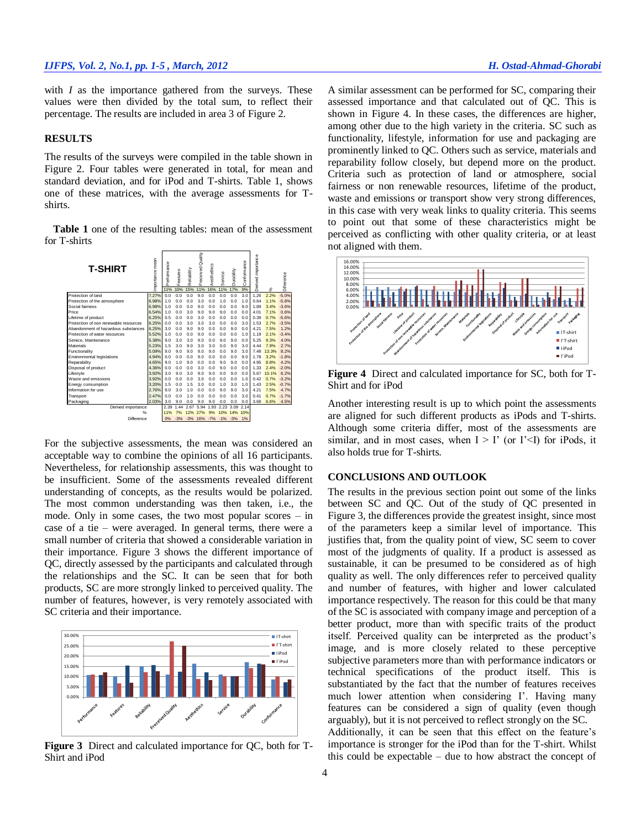with *I* as the importance gathered from the surveys. These values were then divided by the total sum, to reflect their percentage. The results are included in area 3 of [Figure](#page-2-0) 2.

#### **RESULTS**

The results of the surveys were compiled in the table shown in [Figure](#page-2-0) 2. Four tables were generated in total, for mean and standard deviation, and for iPod and T-shirts. Table 1, shows one of these matrices, with the average assessments for Tshirts.

**Table 1** one of the resulting tables: mean of the assessment for T-shirts



For the subjective assessments, the mean was considered an acceptable way to combine the opinions of all 16 participants. Nevertheless, for relationship assessments, this was thought to be insufficient. Some of the assessments revealed different understanding of concepts, as the results would be polarized. The most common understanding was then taken, i.e., the mode. Only in some cases, the two most popular scores – in case of a tie – were averaged. In general terms, there were a small number of criteria that showed a considerable variation in their importance. [Figure](#page-3-0) 3 shows the different importance of QC, directly assessed by the participants and calculated through the relationships and the SC. It can be seen that for both products, SC are more strongly linked to perceived quality. The number of features, however, is very remotely associated with SC criteria and their importance.



<span id="page-3-0"></span>**Figure 3** Direct and calculated importance for QC, both for T-Shirt and iPod

A similar assessment can be performed for SC, comparing their assessed importance and that calculated out of QC. This is shown in [Figure](#page-3-1) 4. In these cases, the differences are higher, among other due to the high variety in the criteria. SC such as functionality, lifestyle, information for use and packaging are prominently linked to QC. Others such as service, materials and reparability follow closely, but depend more on the product. Criteria such as protection of land or atmosphere, social fairness or non renewable resources, lifetime of the product, waste and emissions or transport show very strong differences, in this case with very weak links to quality criteria. This seems to point out that some of these characteristics might be perceived as conflicting with other quality criteria, or at least not aligned with them.



<span id="page-3-1"></span>**Figure 4** Direct and calculated importance for SC, both for T-Shirt and for iPod

Another interesting result is up to which point the assessments are aligned for such different products as iPods and T-shirts. Although some criteria differ, most of the assessments are similar, and in most cases, when  $I > I'$  (or  $I' < I$ ) for iPods, it also holds true for T-shirts.

# **CONCLUSIONS AND OUTLOOK**

The results in the previous section point out some of the links between SC and QC. Out of the study of QC presented in [Figure](#page-3-0) 3, the differences provide the greatest insight, since most of the parameters keep a similar level of importance. This justifies that, from the quality point of view, SC seem to cover most of the judgments of quality. If a product is assessed as sustainable, it can be presumed to be considered as of high quality as well. The only differences refer to perceived quality and number of features, with higher and lower calculated importance respectively. The reason for this could be that many of the SC is associated with company image and perception of a better product, more than with specific traits of the product itself. Perceived quality can be interpreted as the product's image, and is more closely related to these perceptive subjective parameters more than with performance indicators or technical specifications of the product itself. This is substantiated by the fact that the number of features receives much lower attention when considering I'. Having many features can be considered a sign of quality (even though arguably), but it is not perceived to reflect strongly on the SC.

Additionally, it can be seen that this effect on the feature's importance is stronger for the iPod than for the T-shirt. Whilst this could be expectable – due to how abstract the concept of